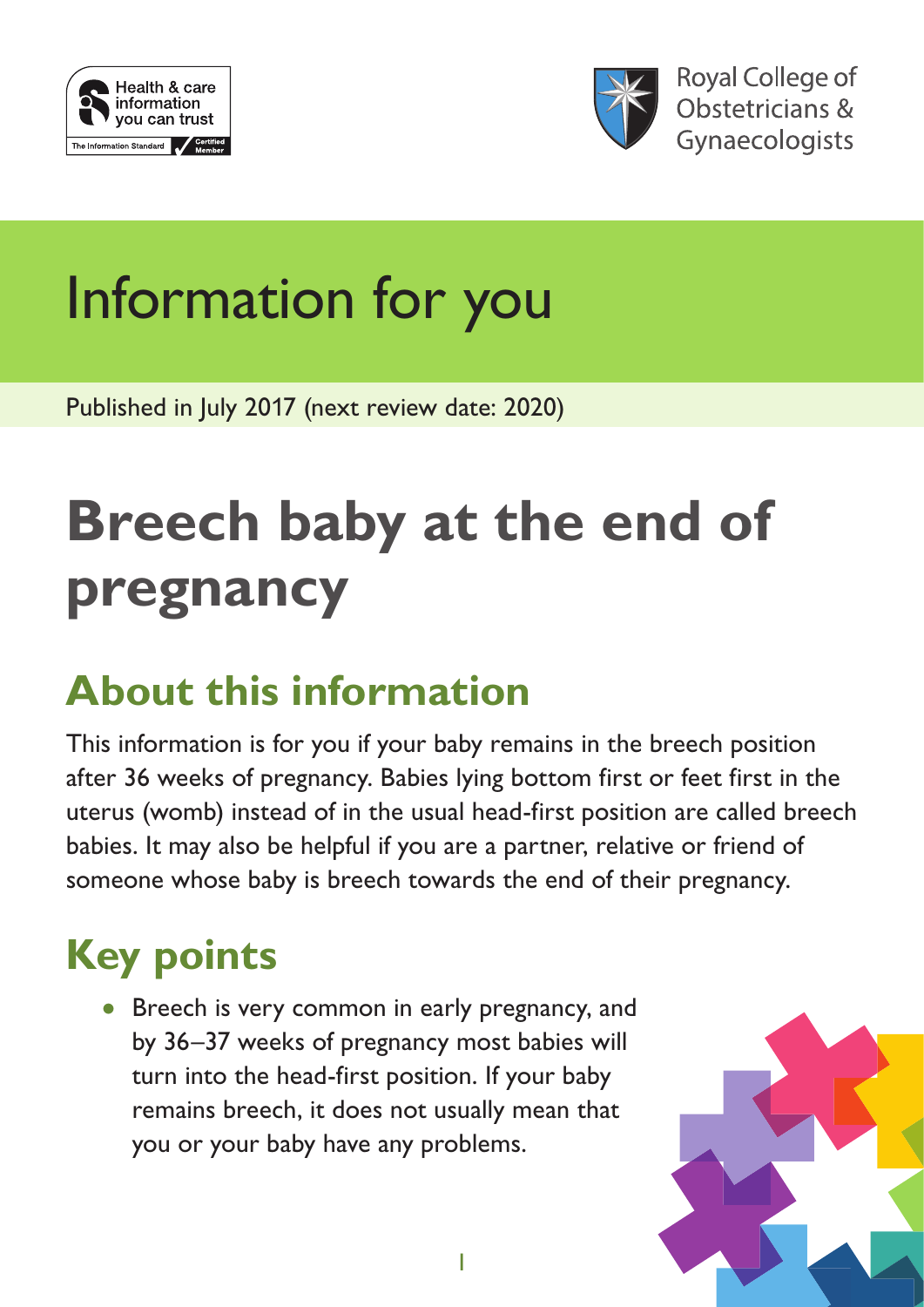



**Royal College of** Obstetricians & Gynaecologists

# Information for you

Published in July 2017 (next review date: 2020)

# **Breech baby at the end of pregnancy**

### **About this information**

This information is for you if your baby remains in the breech position after 36 weeks of pregnancy. Babies lying bottom first or feet first in the uterus (womb) instead of in the usual head-first position are called breech babies. It may also be helpful if you are a partner, relative or friend of someone whose baby is breech towards the end of their pregnancy.

## **Key points**

• Breech is very common in early pregnancy, and by 36–37 weeks of pregnancy most babies will turn into the head-first position. If your baby remains breech, it does not usually mean that you or your baby have any problems.

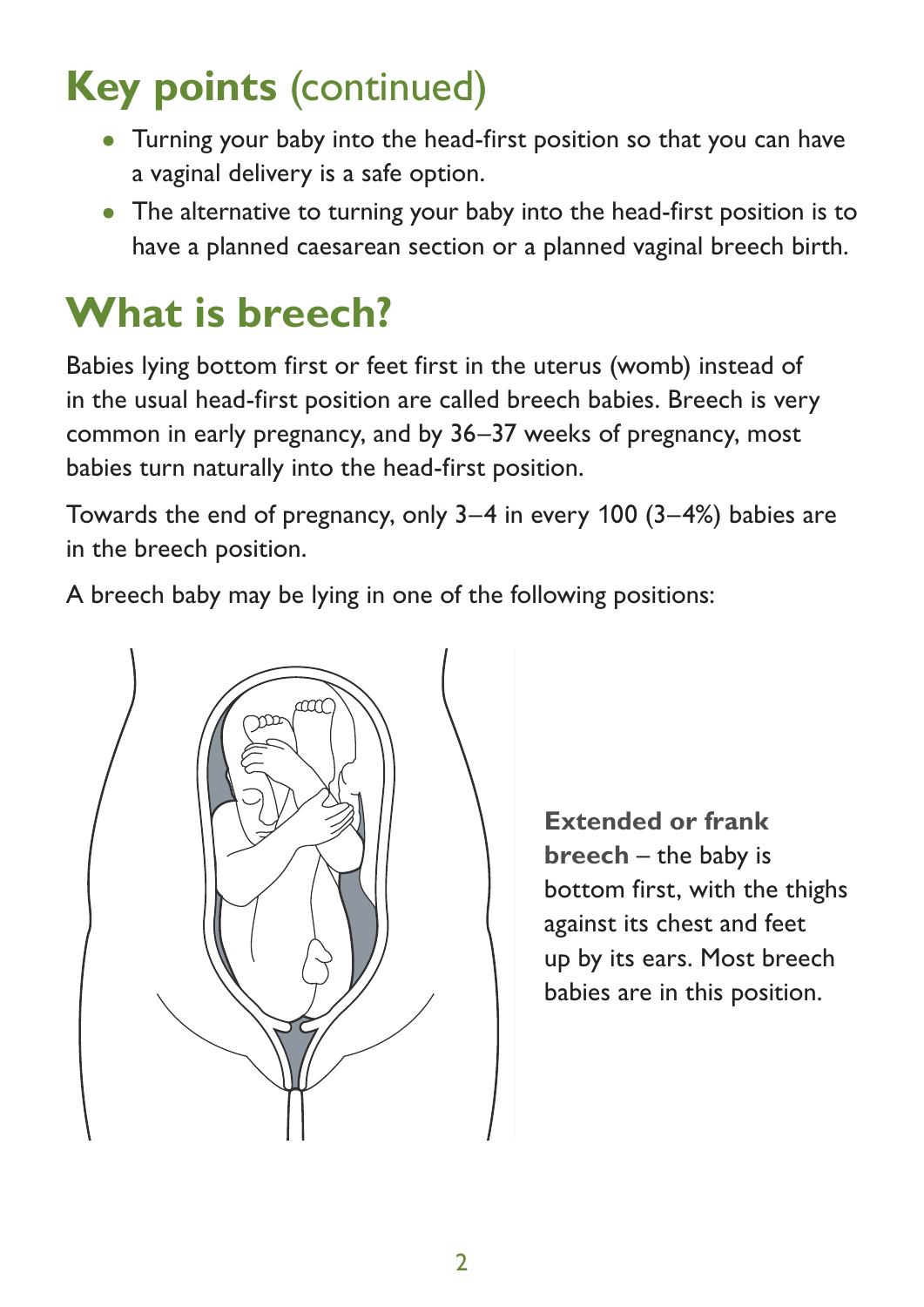#### **Key points** (continued)  $\mathbf{B}$ rech means that you baby is lying both first in the wombines first in the wombines first in the wombines or feet first in the wombines of  $\mathbf{B}$ Rey points (continued)<br>Continues of the usual first position. In the usual head

- Turning your baby into the head-first position so that you can have a vaginal delivery is a safe option. very common common common common continues, a baby usual delivery is a safe option.
- The alternative to turning your baby into the head-first position is to  $\bullet$  The alternative to turning your baby into the head-first position is to have a planned caesarean section or a planned vaginal breech birth.

#### **What is breech?** What is breech?

Babies lying bottom first or feet first in the uterus (womb) instead of In the usual head-first position are called breech babies. Breech is very common in early pregnancy, and by 36–37 weeks of pregnancy, most babies turn naturally into the head-first position.

babies tarritiatarially lifed the ridad in se position.<br>Towards the end of pregnancy, only 3–4 in every 100 (3–4%) babies are in the breech position.

A breech baby may be lying in one of the following positions:



**Extended or frank breech** – the baby is bottom first, with the thighs against its chest and feet up by its ears. Most breech babies are in this position.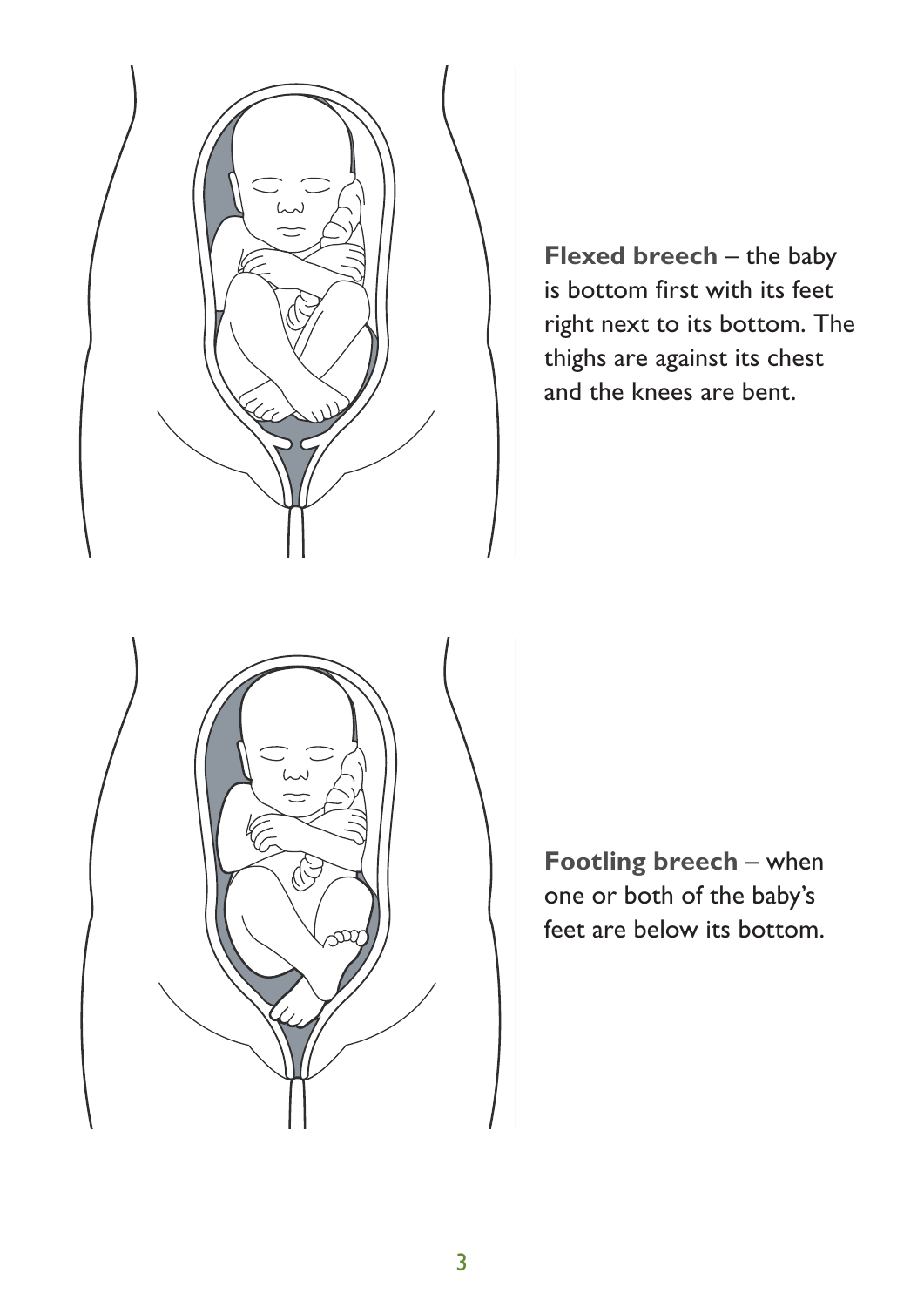

**Flexed breech** – the baby is bottom first with its feet right next to its bottom. The thighs are against its chest and the knees are bent.



**Footling breech** – when one or both of the baby's feet are below its bottom.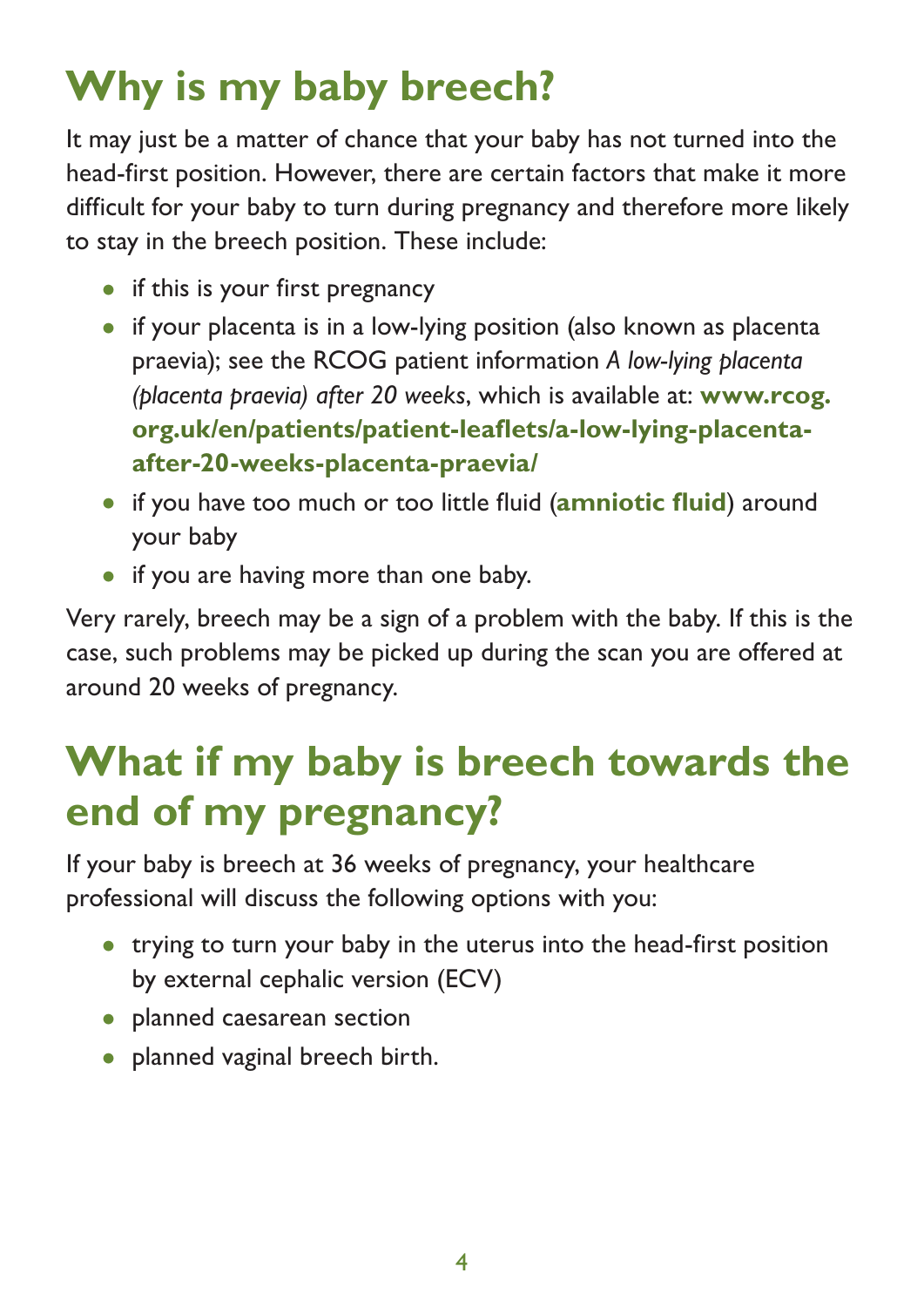## **Why is my baby breech?**

It may just be a matter of chance that your baby has not turned into the head-first position. However, there are certain factors that make it more difficult for your baby to turn during pregnancy and therefore more likely to stay in the breech position. These include:

- if this is your first pregnancy
- if your placenta is in a low-lying position (also known as placenta praevia); see the RCOG patient information *A low-lying placenta (placenta praevia) after 20 weeks*, which is available at: **[www.rcog.](https://www.rcog.org.uk/en/patients/patient-leaflets/a-low-lying-placenta-after-20-weeks-placenta-praevia/) [org.uk/en/patients/patient-leaflets/a-low-lying-placenta](https://www.rcog.org.uk/en/patients/patient-leaflets/a-low-lying-placenta-after-20-weeks-placenta-praevia/)[after-20-weeks-placenta-praevia/](https://www.rcog.org.uk/en/patients/patient-leaflets/a-low-lying-placenta-after-20-weeks-placenta-praevia/)**
- if you have too much or too little fluid (**amniotic fluid**) around your baby
- if you are having more than one baby.

Very rarely, breech may be a sign of a problem with the baby. If this is the case, such problems may be picked up during the scan you are offered at around 20 weeks of pregnancy.

## **What if my baby is breech towards the end of my pregnancy?**

If your baby is breech at 36 weeks of pregnancy, your healthcare professional will discuss the following options with you:

- trying to turn your baby in the uterus into the head-first position by external cephalic version (ECV)
- planned caesarean section
- planned vaginal breech birth.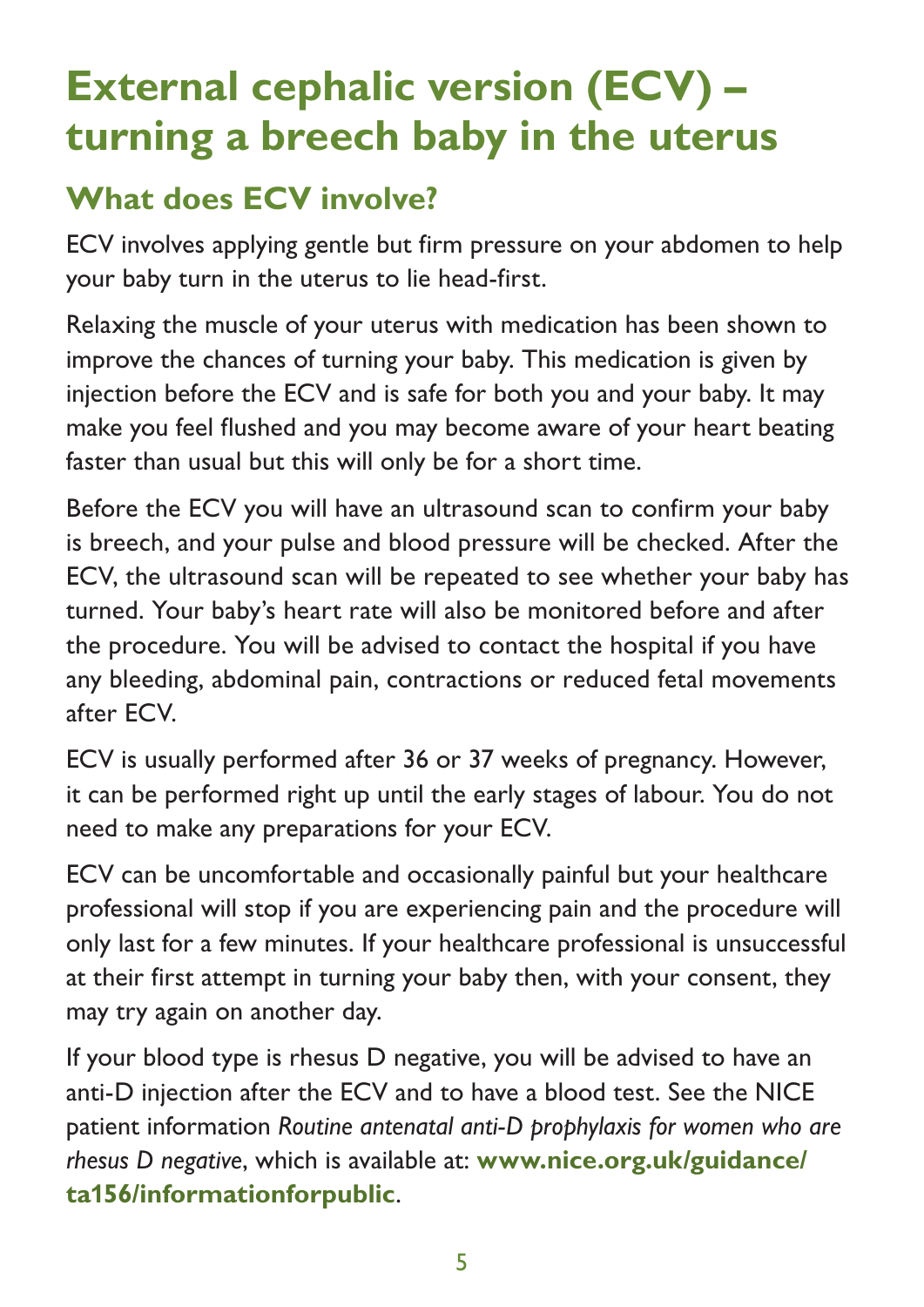### **External cephalic version (ECV) – turning a breech baby in the uterus**

### **What does ECV involve?**

ECV involves applying gentle but firm pressure on your abdomen to help your baby turn in the uterus to lie head-first.

Relaxing the muscle of your uterus with medication has been shown to improve the chances of turning your baby. This medication is given by injection before the ECV and is safe for both you and your baby. It may make you feel flushed and you may become aware of your heart beating faster than usual but this will only be for a short time.

Before the ECV you will have an ultrasound scan to confirm your baby is breech, and your pulse and blood pressure will be checked. After the ECV, the ultrasound scan will be repeated to see whether your baby has turned. Your baby's heart rate will also be monitored before and after the procedure. You will be advised to contact the hospital if you have any bleeding, abdominal pain, contractions or reduced fetal movements after ECV.

ECV is usually performed after 36 or 37 weeks of pregnancy. However, it can be performed right up until the early stages of labour. You do not need to make any preparations for your ECV.

ECV can be uncomfortable and occasionally painful but your healthcare professional will stop if you are experiencing pain and the procedure will only last for a few minutes. If your healthcare professional is unsuccessful at their first attempt in turning your baby then, with your consent, they may try again on another day.

If your blood type is rhesus D negative, you will be advised to have an anti-D injection after the ECV and to have a blood test. See the NICE patient information *Routine antenatal anti-D prophylaxis for women who are rhesus D negative*, which is available at: **[www.nice.org.uk/guidance/](https://www.nice.org.uk/guidance/ta156/informationforpublic) ta1[56/informationforpublic](https://www.nice.org.uk/guidance/ta156/informationforpublic)**.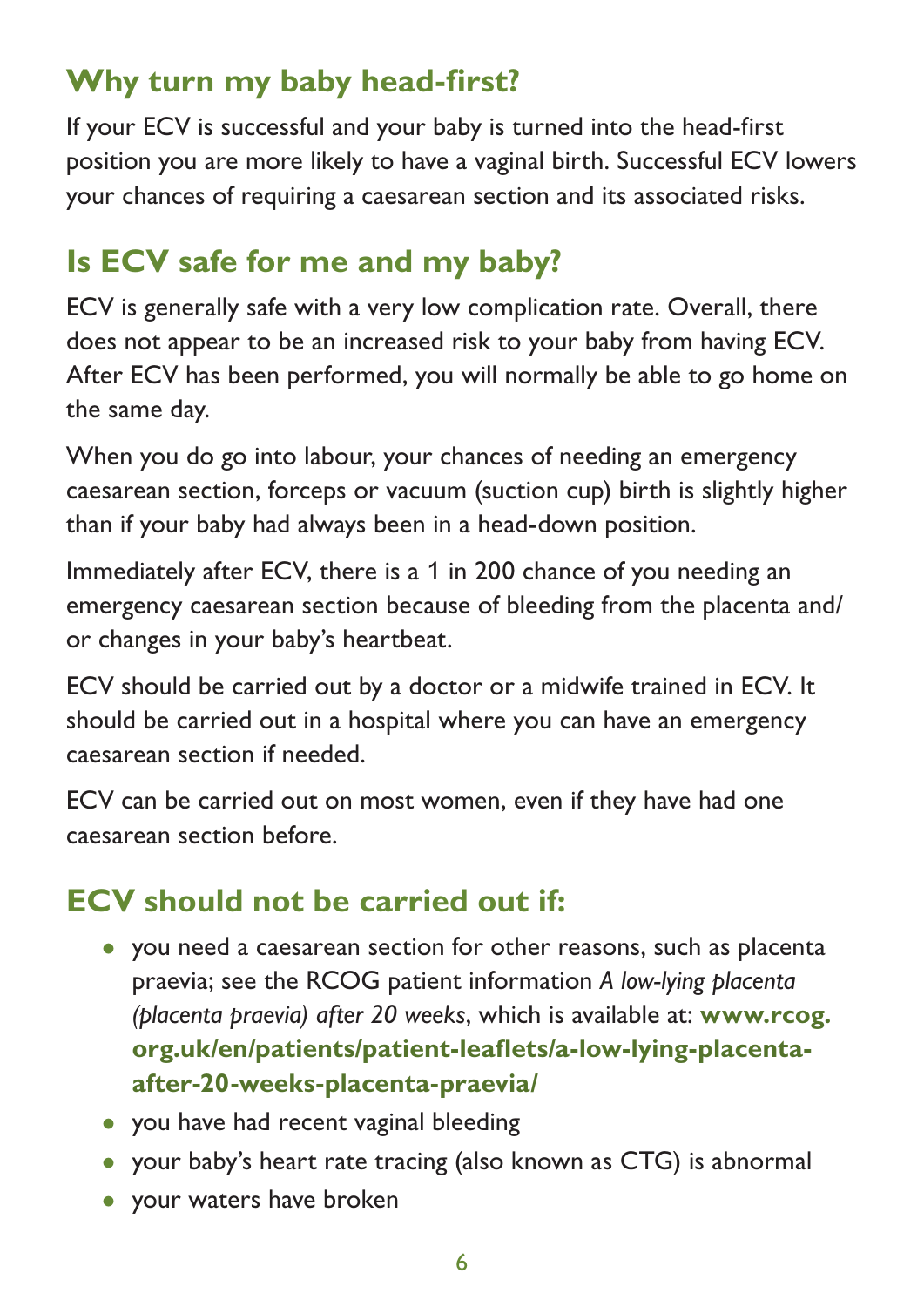### **Why turn my baby head-first?**

If your ECV is successful and your baby is turned into the head-first position you are more likely to have a vaginal birth. Successful ECV lowers your chances of requiring a caesarean section and its associated risks.

#### **Is ECV safe for me and my baby?**

ECV is generally safe with a very low complication rate. Overall, there does not appear to be an increased risk to your baby from having ECV. After ECV has been performed, you will normally be able to go home on the same day.

When you do go into labour, your chances of needing an emergency caesarean section, forceps or vacuum (suction cup) birth is slightly higher than if your baby had always been in a head-down position.

Immediately after ECV, there is a 1 in 200 chance of you needing an emergency caesarean section because of bleeding from the placenta and/ or changes in your baby's heartbeat.

ECV should be carried out by a doctor or a midwife trained in ECV. It should be carried out in a hospital where you can have an emergency caesarean section if needed.

ECV can be carried out on most women, even if they have had one caesarean section before.

### **ECV should not be carried out if:**

- you need a caesarean section for other reasons, such as placenta praevia; see the RCOG patient information *A low-lying placenta (placenta praevia) after 20 weeks*, which is available at: **[www.rcog.](https://www.rcog.org.uk/en/patients/patient-leaflets/a-low-lying-placenta-after-20-weeks-placenta-praevia/) [org.uk/en/patients/patient-leaflets/a-low-lying-placenta](https://www.rcog.org.uk/en/patients/patient-leaflets/a-low-lying-placenta-after-20-weeks-placenta-praevia/)[after-20-weeks-placenta-praevia/](https://www.rcog.org.uk/en/patients/patient-leaflets/a-low-lying-placenta-after-20-weeks-placenta-praevia/)**
- you have had recent vaginal bleeding
- your baby's heart rate tracing (also known as CTG) is abnormal
- your waters have broken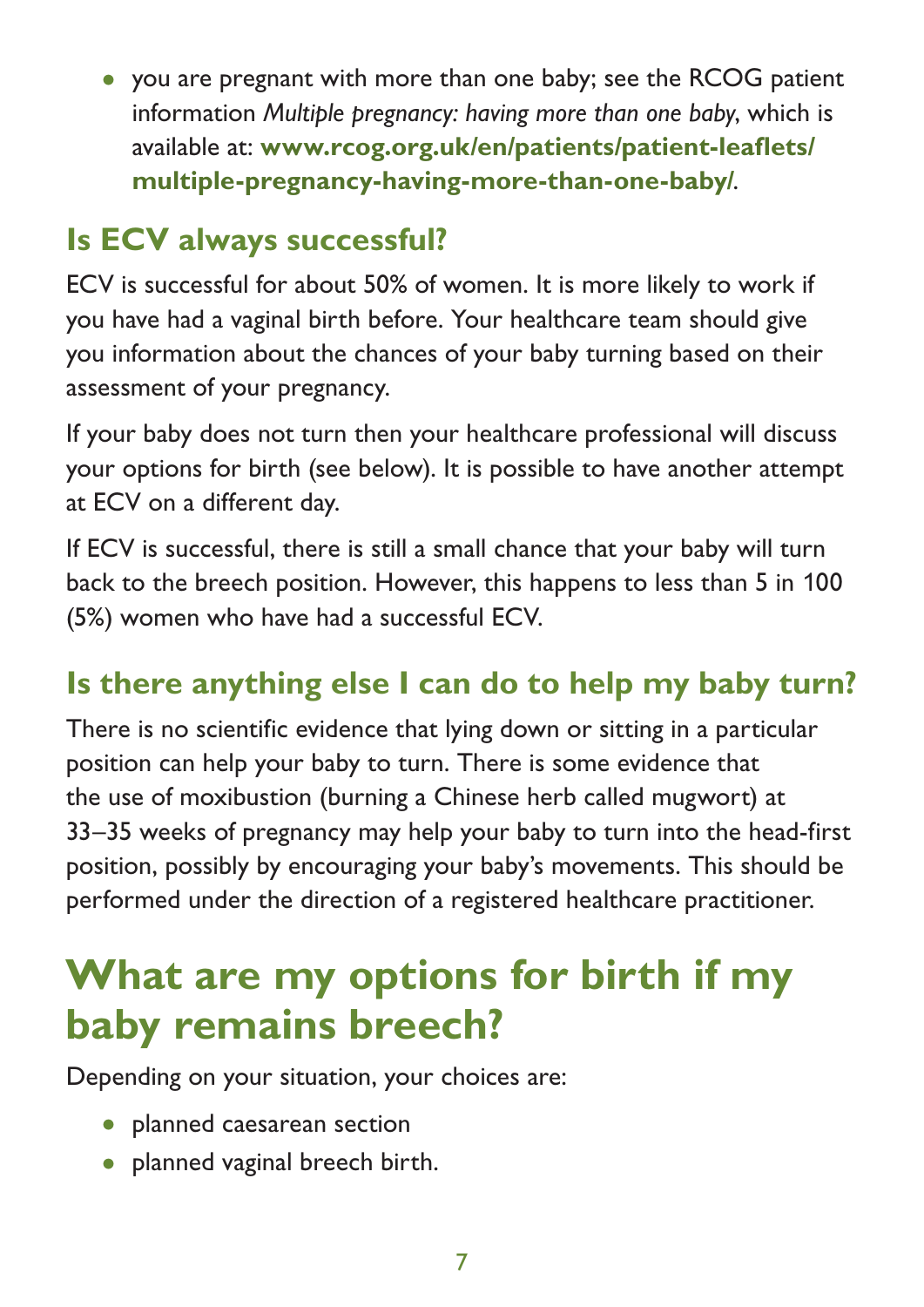• you are pregnant with more than one baby; see the RCOG patient information *Multiple pregnancy: having more than one baby*, which is available at: **[www.rcog.org.uk/en/patients/patient-leaflets/](https://www.rcog.org.uk/en/patients/patient-leaflets/multiple-pregnancy-having-more-than-one-baby/) [multiple-pregnancy-having-more-than-one-baby/](https://www.rcog.org.uk/en/patients/patient-leaflets/multiple-pregnancy-having-more-than-one-baby/)**.

#### **Is ECV always successful?**

ECV is successful for about 50% of women. It is more likely to work if you have had a vaginal birth before. Your healthcare team should give you information about the chances of your baby turning based on their assessment of your pregnancy.

If your baby does not turn then your healthcare professional will discuss your options for birth (see below). It is possible to have another attempt at ECV on a different day.

If ECV is successful, there is still a small chance that your baby will turn back to the breech position. However, this happens to less than 5 in 100 (5%) women who have had a successful ECV.

#### **Is there anything else I can do to help my baby turn?**

There is no scientific evidence that lying down or sitting in a particular position can help your baby to turn. There is some evidence that the use of moxibustion (burning a Chinese herb called mugwort) at 33–35 weeks of pregnancy may help your baby to turn into the head-first position, possibly by encouraging your baby's movements. This should be performed under the direction of a registered healthcare practitioner.

### **What are my options for birth if my baby remains breech?**

Depending on your situation, your choices are:

- planned caesarean section
- planned vaginal breech birth.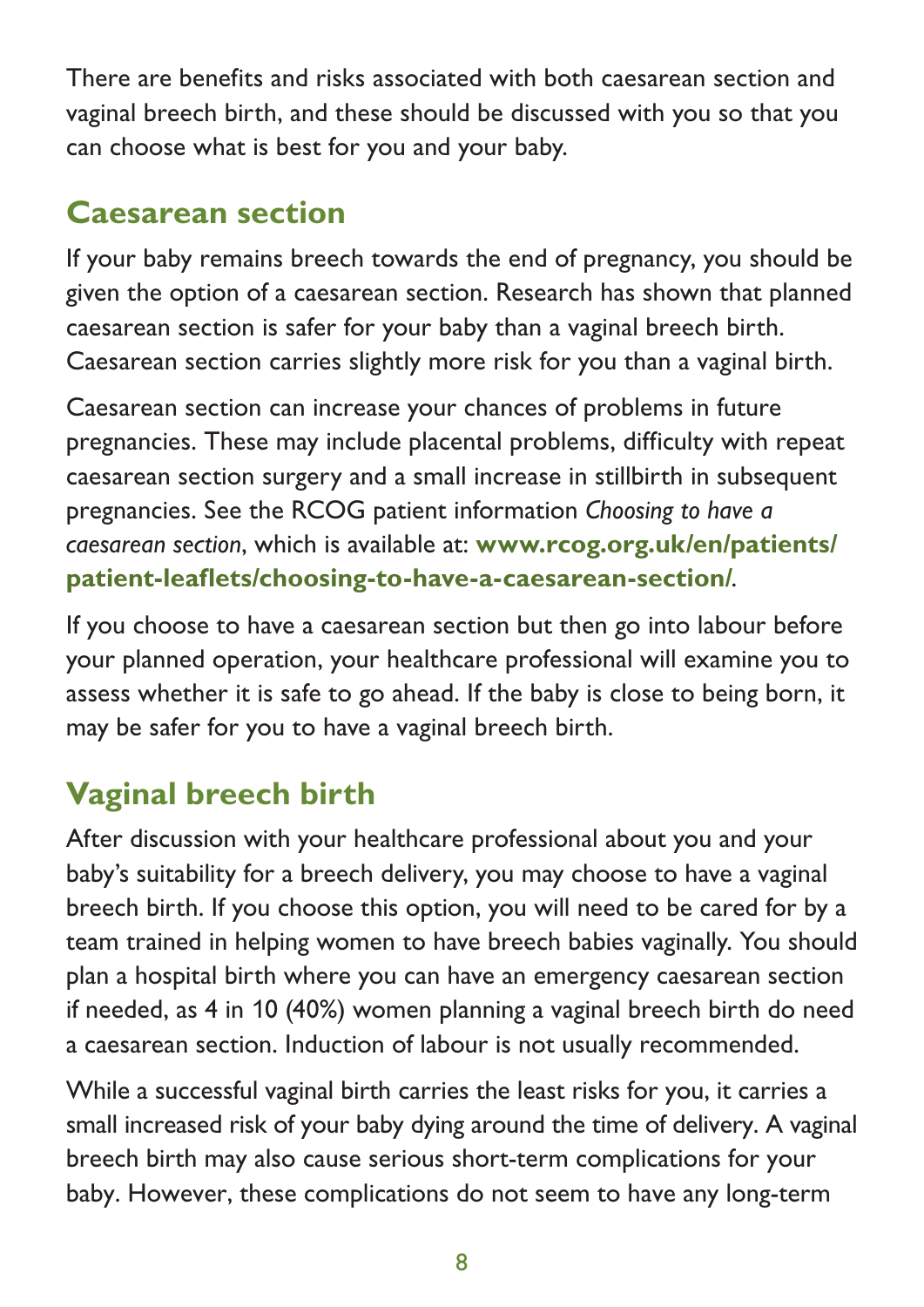There are benefits and risks associated with both caesarean section and vaginal breech birth, and these should be discussed with you so that you can choose what is best for you and your baby.

#### **Caesarean section**

If your baby remains breech towards the end of pregnancy, you should be given the option of a caesarean section. Research has shown that planned caesarean section is safer for your baby than a vaginal breech birth. Caesarean section carries slightly more risk for you than a vaginal birth.

Caesarean section can increase your chances of problems in future pregnancies. These may include placental problems, difficulty with repeat caesarean section surgery and a small increase in stillbirth in subsequent pregnancies. See the RCOG patient information *Choosing to have a caesarean section*, which is available at: **[www.rcog.org.uk/en/patients/](https://www.rcog.org.uk/en/patients/patient-leaflets/choosing-to-have-a-caesarean-section/) [patient-leaflets/choosing-to-have-a-caesarean-section/](https://www.rcog.org.uk/en/patients/patient-leaflets/choosing-to-have-a-caesarean-section/)**.

If you choose to have a caesarean section but then go into labour before your planned operation, your healthcare professional will examine you to assess whether it is safe to go ahead. If the baby is close to being born, it may be safer for you to have a vaginal breech birth.

### **Vaginal breech birth**

After discussion with your healthcare professional about you and your baby's suitability for a breech delivery, you may choose to have a vaginal breech birth. If you choose this option, you will need to be cared for by a team trained in helping women to have breech babies vaginally. You should plan a hospital birth where you can have an emergency caesarean section if needed, as 4 in 10 (40%) women planning a vaginal breech birth do need a caesarean section. Induction of labour is not usually recommended.

While a successful vaginal birth carries the least risks for you, it carries a small increased risk of your baby dying around the time of delivery. A vaginal breech birth may also cause serious short-term complications for your baby. However, these complications do not seem to have any long-term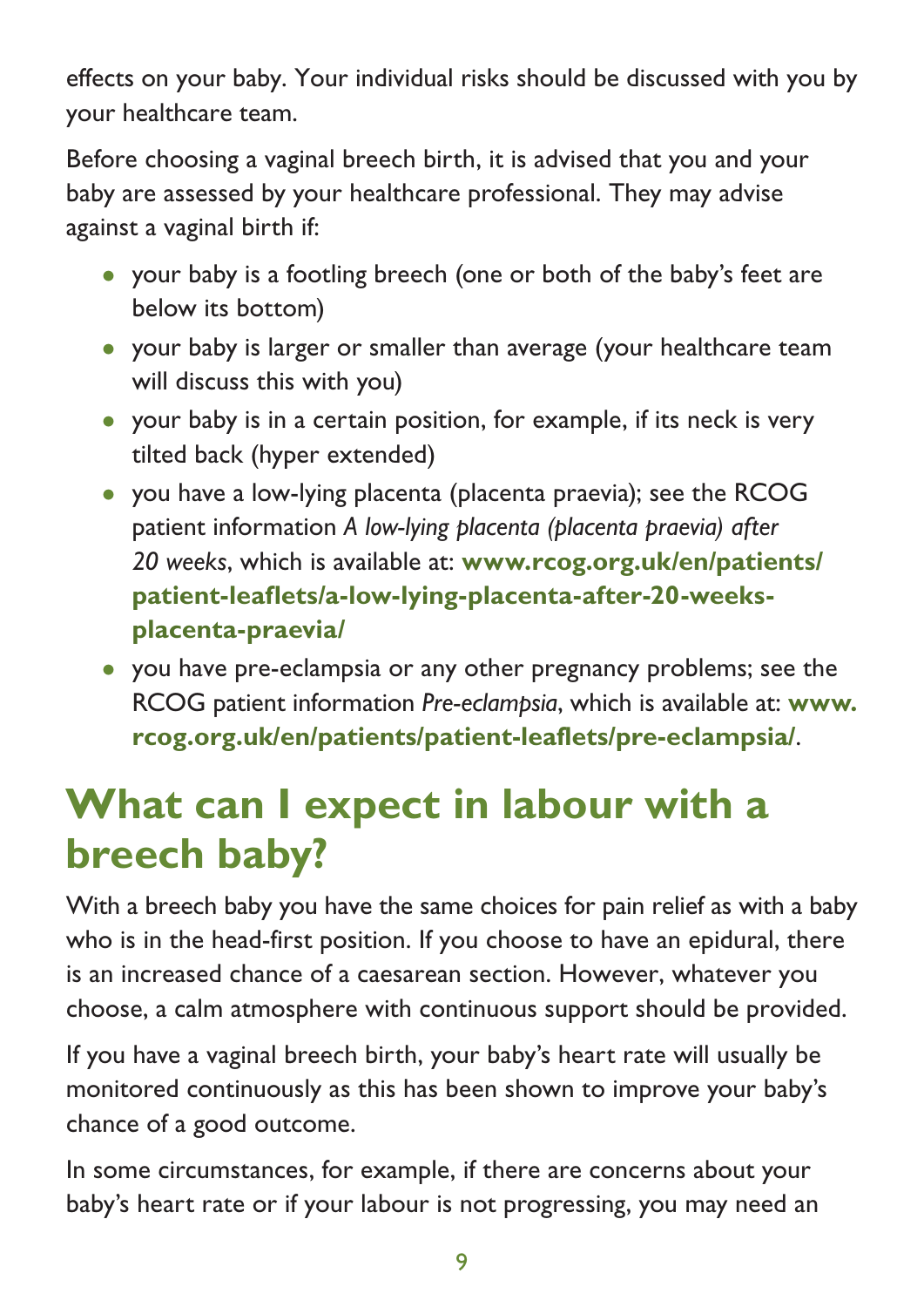effects on your baby. Your individual risks should be discussed with you by your healthcare team.

Before choosing a vaginal breech birth, it is advised that you and your baby are assessed by your healthcare professional. They may advise against a vaginal birth if:

- your baby is a footling breech (one or both of the baby's feet are below its bottom)
- your baby is larger or smaller than average (your healthcare team will discuss this with you)
- your baby is in a certain position, for example, if its neck is very tilted back (hyper extended)
- you have a low-lying placenta (placenta praevia); see the RCOG patient information *A low-lying placenta (placenta praevia) after 20 weeks*, which is available at: **[www.rcog.org.uk/en/patients/](https://www.rcog.org.uk/en/patients/patient-leaflets/a-low-lying-placenta-after-20-weeks-placenta-praevia/) [patient-leaflets/a-low-lying-placenta-after-20-weeks](https://www.rcog.org.uk/en/patients/patient-leaflets/a-low-lying-placenta-after-20-weeks-placenta-praevia/)[placenta-praevia/](https://www.rcog.org.uk/en/patients/patient-leaflets/a-low-lying-placenta-after-20-weeks-placenta-praevia/)**
- you have pre-eclampsia or any other pregnancy problems; see the RCOG patient information *Pre-eclampsia*, which is available at: **[www.](https://www.rcog.org.uk/en/patients/patient-leaflets/pre-eclampsia/) [rcog.org.uk/en/patients/patient-leaflets/pre-eclampsia/](https://www.rcog.org.uk/en/patients/patient-leaflets/pre-eclampsia/)**.

### **What can I expect in labour with a breech baby?**

With a breech baby you have the same choices for pain relief as with a baby who is in the head-first position. If you choose to have an epidural, there is an increased chance of a caesarean section. However, whatever you choose, a calm atmosphere with continuous support should be provided.

If you have a vaginal breech birth, your baby's heart rate will usually be monitored continuously as this has been shown to improve your baby's chance of a good outcome.

In some circumstances, for example, if there are concerns about your baby's heart rate or if your labour is not progressing, you may need an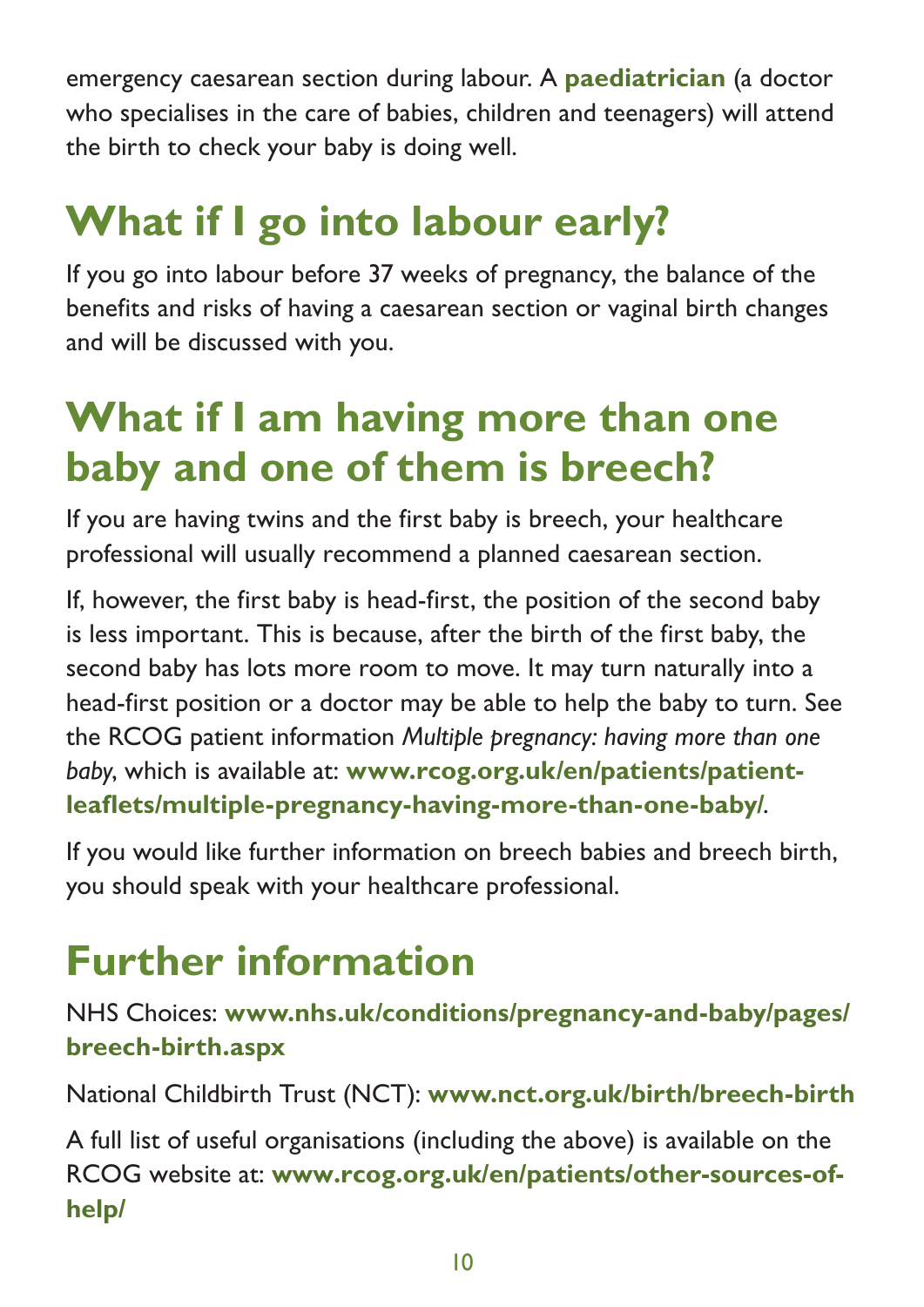emergency caesarean section during labour. A **paediatrician** (a doctor who specialises in the care of babies, children and teenagers) will attend the birth to check your baby is doing well.

## **What if I go into labour early?**

If you go into labour before 37 weeks of pregnancy, the balance of the benefits and risks of having a caesarean section or vaginal birth changes and will be discussed with you.

### **What if I am having more than one baby and one of them is breech?**

If you are having twins and the first baby is breech, your healthcare professional will usually recommend a planned caesarean section.

If, however, the first baby is head-first, the position of the second baby is less important. This is because, after the birth of the first baby, the second baby has lots more room to move. It may turn naturally into a head-first position or a doctor may be able to help the baby to turn. See the RCOG patient information *Multiple pregnancy: having more than one baby*, which is available at: **[www.rcog.org.uk/en/patients/patient](https://www.rcog.org.uk/en/patients/patient-leaflets/multiple-pregnancy-having-more-than-one-baby/)[leaflets/multiple-pregnancy-having-more-than-one-baby/](https://www.rcog.org.uk/en/patients/patient-leaflets/multiple-pregnancy-having-more-than-one-baby/)**.

If you would like further information on breech babies and breech birth, you should speak with your healthcare professional.

### **Further information**

NHS Choices: **[www.nhs.uk/conditions/pregnancy-and-baby/pages/](http://www.nhs.uk/conditions/pregnancy-and-baby/pages/breech-birth.aspx) [breech-birth.aspx](http://www.nhs.uk/conditions/pregnancy-and-baby/pages/breech-birth.aspx)**

National Childbirth Trust (NCT): **[www.nct.org.uk/birth/breech-birth](https://www.nct.org.uk/birth/breech-birth)**

A full list of useful organisations (including the above) is available on the RCOG website at: **[www.rcog.org.uk/en/patients/other-sources-of](https://www.rcog.org.uk/en/patients/other-sources-of-help/)[help/](https://www.rcog.org.uk/en/patients/other-sources-of-help/)**